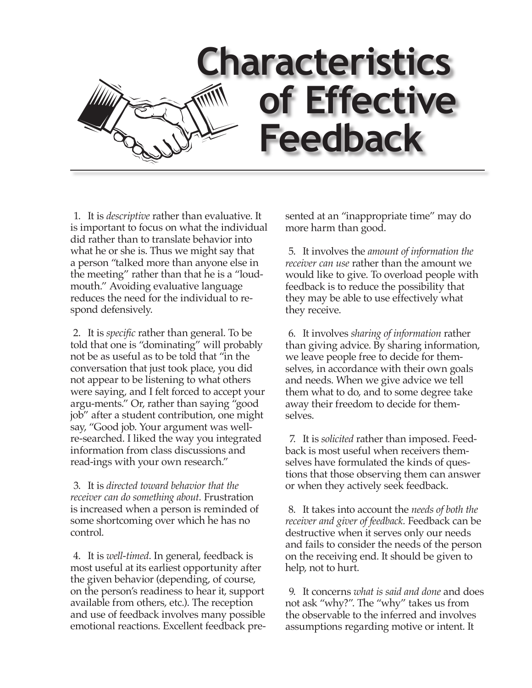

1. It is *descriptive* rather than evaluative. It is important to focus on what the individual did rather than to translate behavior into what he or she is. Thus we might say that a person "talked more than anyone else in the meeting" rather than that he is a "loudmouth." Avoiding evaluative language reduces the need for the individual to respond defensively.

2. It is *specific* rather than general. To be told that one is "dominating" will probably not be as useful as to be told that "in the conversation that just took place, you did not appear to be listening to what others were saying, and I felt forced to accept your argu-ments." Or, rather than saying "good job" after a student contribution, one might say, "Good job. Your argument was wellre-searched. I liked the way you integrated information from class discussions and read-ings with your own research."

 3. It is *directed toward behavior that the receiver can do something about.* Frustration is increased when a person is reminded of some shortcoming over which he has no control.

 4. It is *well-timed*. In general, feedback is most useful at its earliest opportunity after the given behavior (depending, of course, on the person's readiness to hear it, support available from others, etc.). The reception and use of feedback involves many possible emotional reactions. Excellent feedback presented at an "inappropriate time" may do more harm than good.

 5. It involves the *amount of information the receiver can use* rather than the amount we would like to give. To overload people with feedback is to reduce the possibility that they may be able to use effectively what they receive.

 6. It involves *sharing of information* rather than giving advice. By sharing information, we leave people free to decide for themselves, in accordance with their own goals and needs. When we give advice we tell them what to do, and to some degree take away their freedom to decide for themselves.

 7. It is *solicited* rather than imposed. Feedback is most useful when receivers themselves have formulated the kinds of questions that those observing them can answer or when they actively seek feedback.

 8. It takes into account the *needs of both the receiver and giver of feedback.* Feedback can be destructive when it serves only our needs and fails to consider the needs of the person on the receiving end. It should be given to help, not to hurt.

 9. It concerns *what is said and done* and does not ask "why?". The "why" takes us from the observable to the inferred and involves assumptions regarding motive or intent. It